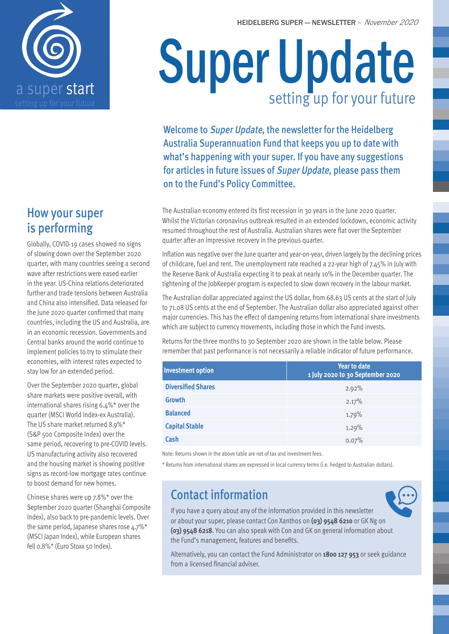



### How your super is performing

Globally, COVID-19 cases showed no signs of slowing down over the September 2020 quarter, with many countries seeing a second wave after restrictions were eased earlier in the year. US-China relations deteriorated further and trade tensions between Australia and China also intensified. Data released for the June 2020 quarter confirmed that many countries, including the US and Australia, are in an economic recession. Governments and Central banks around the world continue to implement policies to try to stimulate their economies, with interest rates expected to stay low for an extended period.

Over the September 2020 quarter, global share markets were positive overall, with international shares rising 6.4%\* over the quarter (MSCI World Index-ex Australia). The US share market returned 8.9%\* (S&P 500 Composite Index) over the same period, recovering to pre-COVID levels. US manufacturing activity also recovered and the housing market is showing positive signs as record-low mortgage rates continue to boost demand for new homes.

Chinese shares were up 7.8%\* over the September 2020 quarter (Shanghai Composite Index), also back to pre-pandemic levels. Over the same period, Japanese shares rose 4.7%\* (MSCI Japan Index), while European shares fell 0.8%\* (Euro Stoxx 50 Index).

# Super Update setting up for your future

Welcome to Super Update, the newsletter for the Heidelberg Australia Superannuation Fund that keeps you up to date with what's happening with your super. If you have any suggestions for articles in future issues of Super Update, please pass them on to the Fund's Policy Committee.

The Australian economy entered its first recession in 30 years in the June 2020 quarter. Whilst the Victorian coronavirus outbreak resulted in an extended lockdown, economic activity resumed throughout the rest of Australia. Australian shares were flat over the September quarter after an impressive recovery in the previous quarter.

Inflation was negative over the June quarter and year-on-year, driven largely by the declining prices of childcare, fuel and rent. The unemployment rate reached a 22-year high of 7.45% in July with the Reserve Bank of Australia expecting it to peak at nearly 10% in the December quarter. The tightening of the JobKeeper program is expected to slow down recovery in the labour market.

The Australian dollar appreciated against the US dollar, from 68.63 US cents at the start of July to 71.08 US cents at the end of September. The Australian dollar also appreciated against other major currencies. This has the effect of dampening returns from international share investments which are subject to currency movements, including those in which the Fund invests.

Returns for the three months to 30 September 2020 are shown in the table below. Please remember that past performance is not necessarily a reliable indicator of future performance.

| <b>Investment option</b>  | <b>Year to date</b><br>1 July 2020 to 30 September 2020 |  |  |
|---------------------------|---------------------------------------------------------|--|--|
| <b>Diversified Shares</b> | 2.92%                                                   |  |  |
| <b>Growth</b>             | 2.17%                                                   |  |  |
| <b>Balanced</b>           | 1.79%                                                   |  |  |
| <b>Capital Stable</b>     | 1.29%                                                   |  |  |
| <b>Cash</b>               | 0.07%                                                   |  |  |

Note: Returns shown in the above table are net of tax and investment fees.

\* Returns from international shares are expressed in local currency terms (i.e. hedged to Australian dollars).

## Contact information

If you have a query about any of the information provided in this newsletter or about your super, please contact Con Xanthos on **(03) 9548 6210** or GK Ng on **(03) 9548 6218**. You can also speak with Con and GK on general information about the Fund's management, features and benefits.

Alternatively, you can contact the Fund Administrator on **1800 127 953** or seek guidance from a licensed financial adviser.